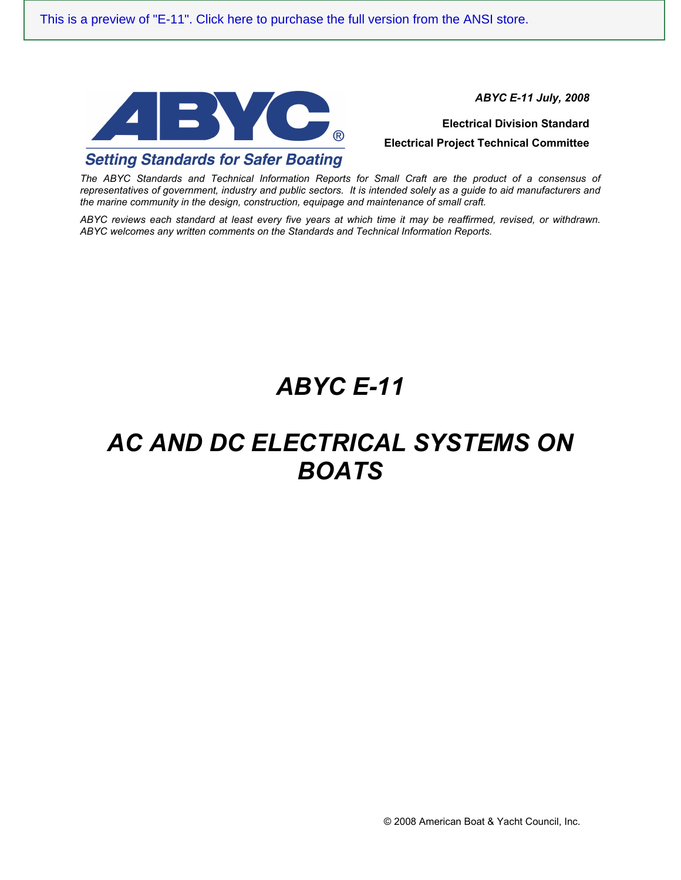

*ABYC E-11 July, 2008*

**Electrical Division Standard Electrical Project Technical Committee**

*The ABYC Standards and Technical Information Reports for Small Craft are the product of a consensus of representatives of government, industry and public sectors. It is intended solely as a guide to aid manufacturers and the marine community in the design, construction, equipage and maintenance of small craft.* 

*ABYC reviews each standard at least every five years at which time it may be reaffirmed, revised, or withdrawn. ABYC welcomes any written comments on the Standards and Technical Information Reports.*

# *ABYC E-11*

# *AC AND DC ELECTRICAL SYSTEMS ON BOATS*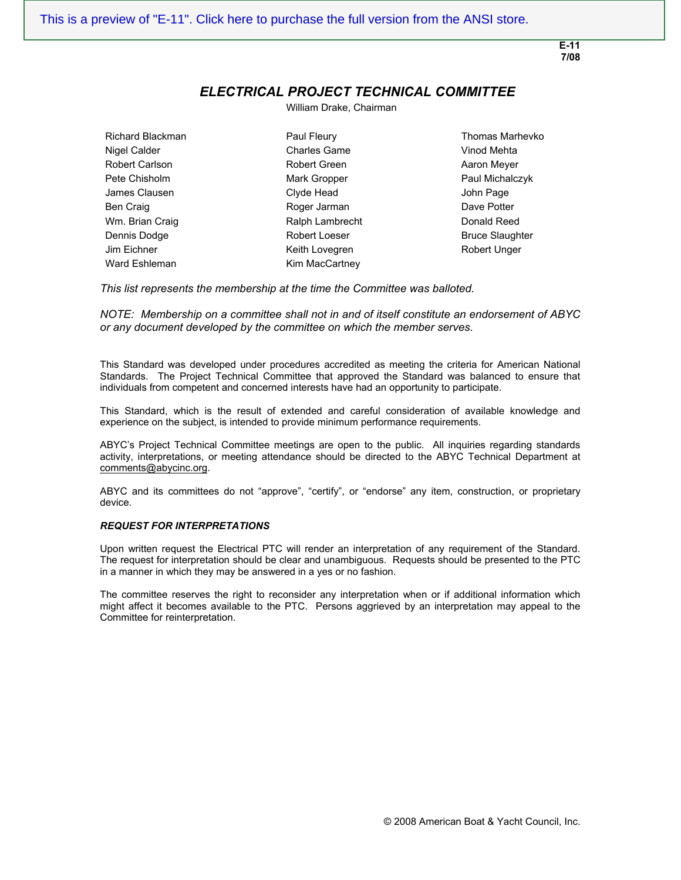**E-11 7/08**

## *ELECTRICAL PROJECT TECHNICAL COMMITTEE*

William Drake, Chairman

Richard Blackman Paul Fleury Thomas Marhevko Ward Eshleman Kim MacCartney

Nigel Calder **Charles Game** Charles Game Vinod Mehta Robert Carlson **Robert Green Robert Green** Aaron Meyer Pete Chisholm **Mark Gropper** Paul Michalczyk **Paul Michalczyk** James Clausen Clyde Head John Page Ben Craig and Books and Roger Jarman and Dave Potter Wm. Brian Craig **Ralph Lambrecht** Donald Reed Reed Dennis Dodge **Robert Loeser** Robert Loeser Bruce Slaughter Jim Eichner The Team Reith Lovegren The Robert Unger

*This list represents the membership at the time the Committee was balloted.* 

*NOTE: Membership on a committee shall not in and of itself constitute an endorsement of ABYC or any document developed by the committee on which the member serves.*

This Standard was developed under procedures accredited as meeting the criteria for American National Standards. The Project Technical Committee that approved the Standard was balanced to ensure that individuals from competent and concerned interests have had an opportunity to participate.

This Standard, which is the result of extended and careful consideration of available knowledge and experience on the subject, is intended to provide minimum performance requirements.

ABYC's Project Technical Committee meetings are open to the public. All inquiries regarding standards activity, interpretations, or meeting attendance should be directed to the ABYC Technical Department at comments@abycinc.org.

ABYC and its committees do not "approve", "certify", or "endorse" any item, construction, or proprietary device.

#### *REQUEST FOR INTERPRETATIONS*

Upon written request the Electrical PTC will render an interpretation of any requirement of the Standard. The request for interpretation should be clear and unambiguous. Requests should be presented to the PTC in a manner in which they may be answered in a yes or no fashion.

The committee reserves the right to reconsider any interpretation when or if additional information which might affect it becomes available to the PTC. Persons aggrieved by an interpretation may appeal to the Committee for reinterpretation.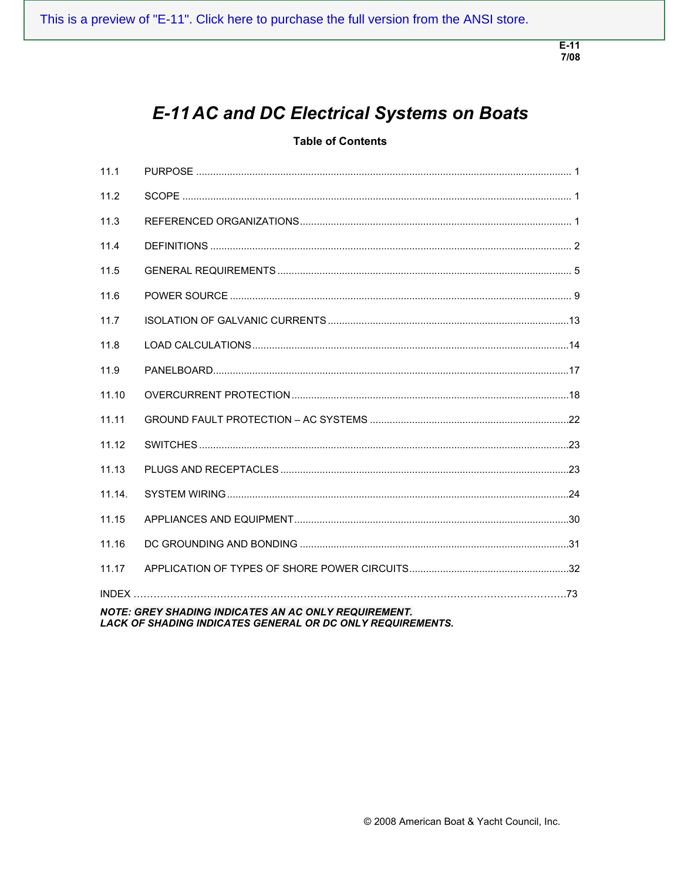$E-11$ 7/08

## **E-11 AC and DC Electrical Systems on Boats**

### **Table of Contents**

| 11.1                                                                                                                      |  |  |
|---------------------------------------------------------------------------------------------------------------------------|--|--|
| 11.2                                                                                                                      |  |  |
| 11.3                                                                                                                      |  |  |
| 11.4                                                                                                                      |  |  |
| 11.5                                                                                                                      |  |  |
| 11.6                                                                                                                      |  |  |
| 11.7                                                                                                                      |  |  |
| 11.8                                                                                                                      |  |  |
| 11.9                                                                                                                      |  |  |
| 11.10                                                                                                                     |  |  |
| 11.11                                                                                                                     |  |  |
| 11.12                                                                                                                     |  |  |
| 11.13                                                                                                                     |  |  |
| 11.14.                                                                                                                    |  |  |
| 11.15                                                                                                                     |  |  |
| 11.16                                                                                                                     |  |  |
| 11.17                                                                                                                     |  |  |
|                                                                                                                           |  |  |
| <b>NOTE: GREY SHADING INDICATES AN AC ONLY REQUIREMENT.</b><br>LACK OF SHADING INDICATES GENERAL OR DC ONLY REQUIREMENTS. |  |  |